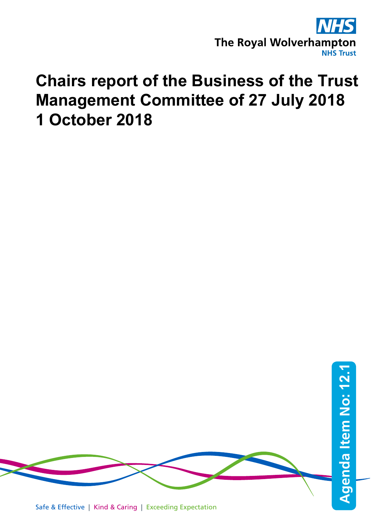

# **Chairs report of the Business of the Trust Management Committee of 27 July 2018 1 October 2018**

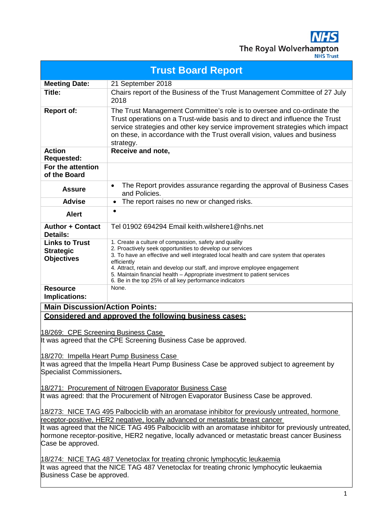$\overline{\mathbf{1S}}$ The Royal Wolverhampton

| <b>Trust Board Report</b>                                                                                                                                                               |                                                                                                                                                                                                                                                                                                                                    |  |
|-----------------------------------------------------------------------------------------------------------------------------------------------------------------------------------------|------------------------------------------------------------------------------------------------------------------------------------------------------------------------------------------------------------------------------------------------------------------------------------------------------------------------------------|--|
| <b>Meeting Date:</b>                                                                                                                                                                    | 21 September 2018                                                                                                                                                                                                                                                                                                                  |  |
| Title:                                                                                                                                                                                  | Chairs report of the Business of the Trust Management Committee of 27 July<br>2018                                                                                                                                                                                                                                                 |  |
| <b>Report of:</b>                                                                                                                                                                       | The Trust Management Committee's role is to oversee and co-ordinate the<br>Trust operations on a Trust-wide basis and to direct and influence the Trust<br>service strategies and other key service improvement strategies which impact<br>on these, in accordance with the Trust overall vision, values and business<br>strategy. |  |
| <b>Action</b><br><b>Requested:</b>                                                                                                                                                      | Receive and note,                                                                                                                                                                                                                                                                                                                  |  |
| For the attention<br>of the Board                                                                                                                                                       |                                                                                                                                                                                                                                                                                                                                    |  |
| <b>Assure</b>                                                                                                                                                                           | The Report provides assurance regarding the approval of Business Cases<br>$\bullet$<br>and Policies.                                                                                                                                                                                                                               |  |
| <b>Advise</b>                                                                                                                                                                           | The report raises no new or changed risks.<br>$\bullet$                                                                                                                                                                                                                                                                            |  |
| <b>Alert</b>                                                                                                                                                                            | $\bullet$                                                                                                                                                                                                                                                                                                                          |  |
| <b>Author + Contact</b><br>Details:                                                                                                                                                     | Tel 01902 694294 Email keith.wilshere1@nhs.net                                                                                                                                                                                                                                                                                     |  |
| <b>Links to Trust</b>                                                                                                                                                                   | 1. Create a culture of compassion, safety and quality                                                                                                                                                                                                                                                                              |  |
| <b>Strategic</b>                                                                                                                                                                        | 2. Proactively seek opportunities to develop our services<br>3. To have an effective and well integrated local health and care system that operates                                                                                                                                                                                |  |
| <b>Objectives</b>                                                                                                                                                                       | efficiently                                                                                                                                                                                                                                                                                                                        |  |
|                                                                                                                                                                                         | 4. Attract, retain and develop our staff, and improve employee engagement                                                                                                                                                                                                                                                          |  |
|                                                                                                                                                                                         | 5. Maintain financial health - Appropriate investment to patient services<br>6. Be in the top 25% of all key performance indicators                                                                                                                                                                                                |  |
| <b>Resource</b><br>Implications:                                                                                                                                                        | None.                                                                                                                                                                                                                                                                                                                              |  |
| <b>Main Discussion/Action Points:</b>                                                                                                                                                   |                                                                                                                                                                                                                                                                                                                                    |  |
| Considered and approved the following business cases:                                                                                                                                   |                                                                                                                                                                                                                                                                                                                                    |  |
|                                                                                                                                                                                         |                                                                                                                                                                                                                                                                                                                                    |  |
| 18/269: CPE Screening Business Case                                                                                                                                                     |                                                                                                                                                                                                                                                                                                                                    |  |
| It was agreed that the CPE Screening Business Case be approved.                                                                                                                         |                                                                                                                                                                                                                                                                                                                                    |  |
|                                                                                                                                                                                         |                                                                                                                                                                                                                                                                                                                                    |  |
| 18/270: Impella Heart Pump Business Case                                                                                                                                                |                                                                                                                                                                                                                                                                                                                                    |  |
| It was agreed that the Impella Heart Pump Business Case be approved subject to agreement by<br>Specialist Commissioners.                                                                |                                                                                                                                                                                                                                                                                                                                    |  |
|                                                                                                                                                                                         |                                                                                                                                                                                                                                                                                                                                    |  |
| 18/271: Procurement of Nitrogen Evaporator Business Case                                                                                                                                |                                                                                                                                                                                                                                                                                                                                    |  |
| It was agreed: that the Procurement of Nitrogen Evaporator Business Case be approved.                                                                                                   |                                                                                                                                                                                                                                                                                                                                    |  |
|                                                                                                                                                                                         |                                                                                                                                                                                                                                                                                                                                    |  |
| 18/273: NICE TAG 495 Palbociclib with an aromatase inhibitor for previously untreated, hormone                                                                                          |                                                                                                                                                                                                                                                                                                                                    |  |
| receptor-positive, HER2 negative, locally advanced or metastatic breast cancer<br>It was agreed that the NICE TAG 495 Palbociclib with an aromatase inhibitor for previously untreated, |                                                                                                                                                                                                                                                                                                                                    |  |
| hormone receptor-positive, HER2 negative, locally advanced or metastatic breast cancer Business                                                                                         |                                                                                                                                                                                                                                                                                                                                    |  |
| Case be approved.                                                                                                                                                                       |                                                                                                                                                                                                                                                                                                                                    |  |
|                                                                                                                                                                                         |                                                                                                                                                                                                                                                                                                                                    |  |
| 18/274: NICE TAG 487 Venetoclax for treating chronic lymphocytic leukaemia                                                                                                              |                                                                                                                                                                                                                                                                                                                                    |  |
|                                                                                                                                                                                         | It was agreed that the NICE TAG 487 Venetoclax for treating chronic lymphocytic leukaemia                                                                                                                                                                                                                                          |  |
| Business Case be approved.                                                                                                                                                              |                                                                                                                                                                                                                                                                                                                                    |  |
|                                                                                                                                                                                         |                                                                                                                                                                                                                                                                                                                                    |  |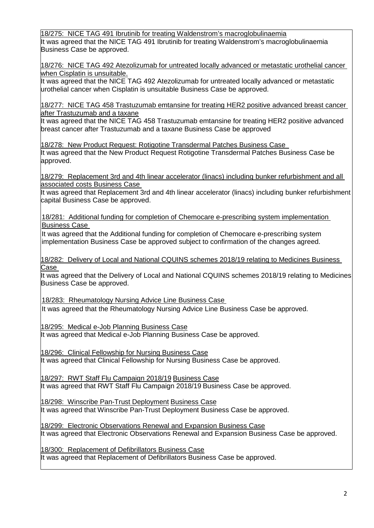18/275: NICE TAG 491 Ibrutinib for treating Waldenstrom's macroglobulinaemia It was agreed that the NICE TAG 491 Ibrutinib for treating Waldenstrom's macroglobulinaemia Business Case be approved.

18/276: NICE TAG 492 Atezolizumab for untreated locally advanced or metastatic urothelial cancer when Cisplatin is unsuitable.

It was agreed that the NICE TAG 492 Atezolizumab for untreated locally advanced or metastatic urothelial cancer when Cisplatin is unsuitable Business Case be approved.

18/277: NICE TAG 458 Trastuzumab emtansine for treating HER2 positive advanced breast cancer after Trastuzumab and a taxane

It was agreed that the NICE TAG 458 Trastuzumab emtansine for treating HER2 positive advanced breast cancer after Trastuzumab and a taxane Business Case be approved

18/278: New Product Request: Rotigotine Transdermal Patches Business Case It was agreed that the New Product Request Rotigotine Transdermal Patches Business Case be approved.

18/279: Replacement 3rd and 4th linear accelerator (linacs) including bunker refurbishment and all associated costs Business Case

It was agreed that Replacement 3rd and 4th linear accelerator (linacs) including bunker refurbishment capital Business Case be approved.

18/281: Additional funding for completion of Chemocare e-prescribing system implementation Business Case

It was agreed that the Additional funding for completion of Chemocare e-prescribing system implementation Business Case be approved subject to confirmation of the changes agreed.

18/282: Delivery of Local and National CQUINS schemes 2018/19 relating to Medicines Business Case

It was agreed that the Delivery of Local and National CQUINS schemes 2018/19 relating to Medicines Business Case be approved.

18/283: Rheumatology Nursing Advice Line Business Case It was agreed that the Rheumatology Nursing Advice Line Business Case be approved.

18/295: Medical e-Job Planning Business Case

It was agreed that Medical e-Job Planning Business Case be approved.

18/296: Clinical Fellowship for Nursing Business Case

It was agreed that Clinical Fellowship for Nursing Business Case be approved.

18/297: RWT Staff Flu Campaign 2018/19 Business Case It was agreed that RWT Staff Flu Campaign 2018/19 Business Case be approved.

18/298: Winscribe Pan-Trust Deployment Business Case It was agreed that Winscribe Pan-Trust Deployment Business Case be approved.

18/299: Electronic Observations Renewal and Expansion Business Case It was agreed that Electronic Observations Renewal and Expansion Business Case be approved.

18/300: Replacement of Defibrillators Business Case It was agreed that Replacement of Defibrillators Business Case be approved.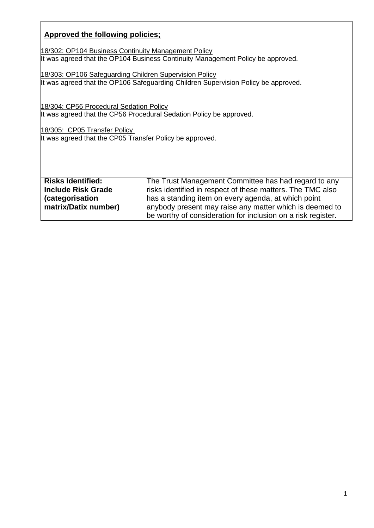# **Approved the following policies;**

18/302: OP104 Business Continuity Management Policy It was agreed that the OP104 Business Continuity Management Policy be approved.

18/303: OP106 Safeguarding Children Supervision Policy It was agreed that the OP106 Safeguarding Children Supervision Policy be approved.

18/304: CP56 Procedural Sedation Policy It was agreed that the CP56 Procedural Sedation Policy be approved.

18/305: CP05 Transfer Policy It was agreed that the CP05 Transfer Policy be approved.

| <b>Risks Identified:</b>  | The Trust Management Committee has had regard to any         |
|---------------------------|--------------------------------------------------------------|
| <b>Include Risk Grade</b> | risks identified in respect of these matters. The TMC also   |
| (categorisation           | has a standing item on every agenda, at which point          |
| matrix/Datix number)      | anybody present may raise any matter which is deemed to      |
|                           | be worthy of consideration for inclusion on a risk register. |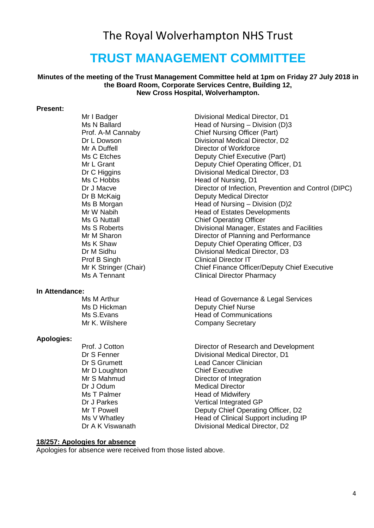# The Royal Wolverhampton NHS Trust

# **TRUST MANAGEMENT COMMITTEE**

#### **Minutes of the meeting of the Trust Management Committee held at 1pm on Friday 27 July 2018 in the Board Room, Corporate Services Centre, Building 12, New Cross Hospital, Wolverhampton.**

#### **Present:**

Ms C Hobbs Head of Nursing, D1<br>Dr J Macve Director of Infection. Prof B Singh Clinical Director IT<br>
Mr K Stringer (Chair) Chief Finance Offic

# **In Attendance:**

#### **Apologies:**

Mr D Loughton Dr J Odum Medical Director<br>
Ms T Palmer Ms Head of Midwifer

Mr I Badger Divisional Medical Director, D1<br>Ms N Ballard CD: Head of Nursing – Division (D) Ms N Ballard **Head of Nursing – Division (D)3**<br>Prof. A-M Cannaby **Chief Nursing Officer (Part)** Prof. A-M Cannaby Chief Nursing Officer (Part)<br>Dr L Dowson Divisional Medical Director. Dr L Dowson Divisional Medical Director, D2 Mr A Duffell **Director of Workforce**<br>
Ms C Etches<br>
Deputy Chief Executiv Ms C Etches **Deputy Chief Executive (Part)**<br>Mr L Grant **Deputy Chief Operating Office** Mr L Grant Deputy Chief Operating Officer, D1<br>Dr C Higgins Divisional Medical Director, D3 Dr C Higgins Divisional Medical Director, D3 Dr J Macve<br>Director of Infection, Prevention and Control (DIPC)<br>Dr B McKaig<br>Deputy Medical Director Deputy Medical Director Ms B Morgan **Mateur 1988** Head of Nursing – Division (D)2<br>Mr W Nabih **Head of Estates Developments** Mr W Nabih **Head of Estates Developments**<br>
Ms G Nuttall **Head of Estates Developments** Ms G Nuttall **Manufall Chief Operating Officer**<br>Ms S Roberts **Chief Operational Manufacture** Ms S Roberts **Divisional Manager, Estates and Facilities**<br>Mr M Sharon **Director of Planning and Performance** Mr M Sharon **Director of Planning and Performance**<br>Ms K Shaw **Deputy Chief Operating Officer**. D3 Ms K Shaw Deputy Chief Operating Officer, D3<br>
Dr M Sidhu Divisional Medical Director, D3 Dr M Sidhu Divisional Medical Director, D3<br>
Prof B Singh Clinical Director IT Mr K Stringer (Chair)<br>
Ms A Tennant<br>
Clinical Director Pharmacy<br>
Clinical Director Pharmacy **Clinical Director Pharmacy** 

Ms M Arthur **Manuel Services**<br>Ms D Hickman **Manuel Services**<br>Deputy Chief Nurse Deputy Chief Nurse Ms S.Evans **Head of Communications**<br>
Mr K. Wilshere **Head of Communications Company Secretary** 

Prof. J Cotton **Director of Research and Development**<br>Dr S Fenner **Director Divisional Medical Director**. D1 Dr S Fenner **Divisional Medical Director, D1**<br>Dr S Grumett **Dr S Communisty** Lead Cancer Clinician Lead Cancer Clinician<br>Chief Executive Mr S Mahmud Director of Integration<br>Dr J Odum Dr Medical Director Ms T Palmer Thead of Midwifery<br>Dr J Parkes Theory Contract United Integrated Vertical Integrated GP Mr T Powell **Deputy Chief Operating Officer, D2**<br>Ms V Whatley **Deputy Chief Operating Officer, D2** Head of Clinical Support including IP Dr A K Viswanath Divisional Medical Director, D2

#### **18/257: Apologies for absence**

Apologies for absence were received from those listed above.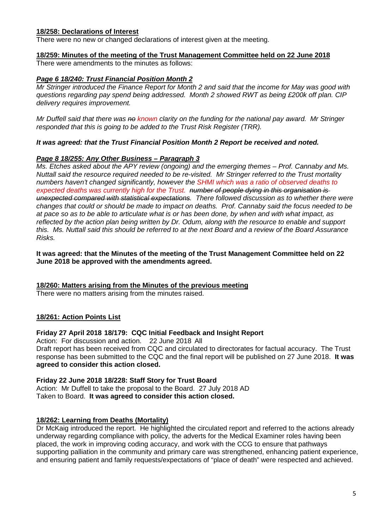# **18/258: Declarations of Interest**

There were no new or changed declarations of interest given at the meeting.

#### **18/259: Minutes of the meeting of the Trust Management Committee held on 22 June 2018**

There were amendments to the minutes as follows:

#### *Page 6 18/240: Trust Financial Position Month 2*

*Mr Stringer introduced the Finance Report for Month 2 and said that the income for May was good with questions regarding pay spend being addressed. Month 2 showed RWT as being £200k off plan. CIP delivery requires improvement.*

*Mr Duffell said that there was no known clarity on the funding for the national pay award. Mr Stringer responded that this is going to be added to the Trust Risk Register (TRR).* 

#### *It was agreed: that the Trust Financial Position Month 2 Report be received and noted.*

#### *Page 8 18/255: Any Other Business – Paragraph 3*

*Ms. Etches asked about the APY review (ongoing) and the emerging themes – Prof. Cannaby and Ms. Nuttall said the resource required needed to be re-visited. Mr Stringer referred to the Trust mortality numbers haven't changed significantly, however the SHMI which was a ratio of observed deaths to expected deaths was currently high for the Trust. number of people dying in this organisation is unexpected compared with statistical expectations. There followed discussion as to whether there were changes that could or should be made to impact on deaths. Prof. Cannaby said the focus needed to be at pace so as to be able to articulate what is or has been done, by when and with what impact, as reflected by the action plan being written by Dr. Odum, along with the resource to enable and support this. Ms. Nuttall said this should be referred to at the next Board and a review of the Board Assurance Risks.*

**It was agreed: that the Minutes of the meeting of the Trust Management Committee held on 22 June 2018 be approved with the amendments agreed.**

#### **18/260: Matters arising from the Minutes of the previous meeting**

There were no matters arising from the minutes raised.

#### **18/261: Action Points List**

#### **Friday 27 April 2018 18/179: CQC Initial Feedback and Insight Report**

Action: For discussion and action. 22 June 2018 All Draft report has been received from CQC and circulated to directorates for factual accuracy. The Trust response has been submitted to the CQC and the final report will be published on 27 June 2018. **It was agreed to consider this action closed.**

#### **Friday 22 June 2018 18/228: Staff Story for Trust Board**

Action: Mr Duffell to take the proposal to the Board. 27 July 2018 AD Taken to Board. **It was agreed to consider this action closed.**

#### **18/262: Learning from Deaths (Mortality)**

Dr McKaig introduced the report. He highlighted the circulated report and referred to the actions already underway regarding compliance with policy, the adverts for the Medical Examiner roles having been placed, the work in improving coding accuracy, and work with the CCG to ensure that pathways supporting palliation in the community and primary care was strengthened, enhancing patient experience, and ensuring patient and family requests/expectations of "place of death" were respected and achieved.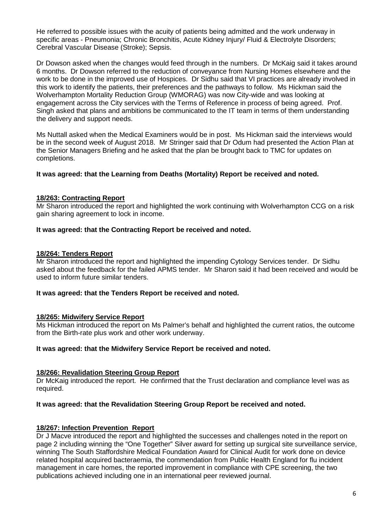He referred to possible issues with the acuity of patients being admitted and the work underway in specific areas - Pneumonia; Chronic Bronchitis, Acute Kidney Injury/ Fluid & Electrolyte Disorders; Cerebral Vascular Disease (Stroke); Sepsis.

Dr Dowson asked when the changes would feed through in the numbers. Dr McKaig said it takes around 6 months. Dr Dowson referred to the reduction of conveyance from Nursing Homes elsewhere and the work to be done in the improved use of Hospices. Dr Sidhu said that VI practices are already involved in this work to identify the patients, their preferences and the pathways to follow. Ms Hickman said the Wolverhampton Mortality Reduction Group (WMORAG) was now City-wide and was looking at engagement across the City services with the Terms of Reference in process of being agreed. Prof. Singh asked that plans and ambitions be communicated to the IT team in terms of them understanding the delivery and support needs.

Ms Nuttall asked when the Medical Examiners would be in post. Ms Hickman said the interviews would be in the second week of August 2018. Mr Stringer said that Dr Odum had presented the Action Plan at the Senior Managers Briefing and he asked that the plan be brought back to TMC for updates on completions.

**It was agreed: that the Learning from Deaths (Mortality) Report be received and noted.**

#### **18/263: Contracting Report**

Mr Sharon introduced the report and highlighted the work continuing with Wolverhampton CCG on a risk gain sharing agreement to lock in income.

#### **It was agreed: that the Contracting Report be received and noted.**

#### **18/264: Tenders Report**

Mr Sharon introduced the report and highlighted the impending Cytology Services tender. Dr Sidhu asked about the feedback for the failed APMS tender. Mr Sharon said it had been received and would be used to inform future similar tenders.

#### **It was agreed: that the Tenders Report be received and noted.**

#### **18/265: Midwifery Service Report**

Ms Hickman introduced the report on Ms Palmer's behalf and highlighted the current ratios, the outcome from the Birth-rate plus work and other work underway.

#### **It was agreed: that the Midwifery Service Report be received and noted.**

#### **18/266: Revalidation Steering Group Report**

Dr McKaig introduced the report. He confirmed that the Trust declaration and compliance level was as required.

#### **It was agreed: that the Revalidation Steering Group Report be received and noted.**

#### **18/267: Infection Prevention Report**

Dr J Macve introduced the report and highlighted the successes and challenges noted in the report on page 2 including winning the "One Together" Silver award for setting up surgical site surveillance service, winning The South Staffordshire Medical Foundation Award for Clinical Audit for work done on device related hospital acquired bacteraemia, the commendation from Public Health England for flu incident management in care homes, the reported improvement in compliance with CPE screening, the two publications achieved including one in an international peer reviewed journal.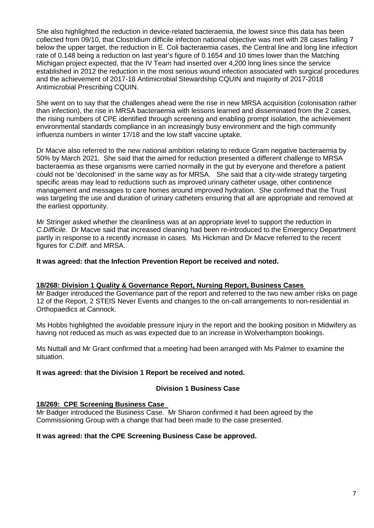She also highlighted the reduction in device-related bacteraemia, the lowest since this data has been collected from 09/10, that Clostridium difficile infection national objective was met with 28 cases falling 7 below the upper target, the reduction in E. Coli bacteraemia cases, the Central line and long line infection rate of 0.148 being a reduction on last year's figure of 0.1654 and 10 times lower than the Matching Michigan project expected, that the IV Team had inserted over 4,200 long lines since the service established in 2012 the reduction in the most serious wound infection associated with surgical procedures and the achievement of 2017-18 Antimicrobial Stewardship CQUIN and majority of 2017-2018 Antimicrobial Prescribing CQUIN.

She went on to say that the challenges ahead were the rise in new MRSA acquisition (colonisation rather than infection), the rise in MRSA bacteraemia with lessons learned and disseminated from the 2 cases, the rising numbers of CPE identified through screening and enabling prompt isolation, the achievement environmental standards compliance in an increasingly busy environment and the high community influenza numbers in winter 17/18 and the low staff vaccine uptake.

Dr Macve also referred to the new national ambition relating to reduce Gram negative bacteraemia by 50% by March 2021. She said that the aimed for reduction presented a different challenge to MRSA bacteraemia as these organisms were carried normally in the gut by everyone and therefore a patient could not be 'decolonised' in the same way as for MRSA. She said that a city-wide strategy targeting specific areas may lead to reductions such as improved urinary catheter usage, other continence management and messages to care homes around improved hydration. She confirmed that the Trust was targeting the use and duration of urinary catheters ensuring that all are appropriate and removed at the earliest opportunity.

Mr Stringer asked whether the cleanliness was at an appropriate level to support the reduction in *C.Difficile.* Dr Macve said that increased cleaning had been re-introduced to the Emergency Department partly in response to a recently increase in cases. Ms Hickman and Dr Macve referred to the recent figures for *C.Diff.* and MRSA.

#### **It was agreed: that the Infection Prevention Report be received and noted.**

#### **18/268: Division 1 Quality & Governance Report, Nursing Report, Business Cases**

Mr Badger introduced the Governance part of the report and referred to the two new amber risks on page 12 of the Report, 2 STEIS Never Events and changes to the on-call arrangements to non-residential in Orthopaedics at Cannock.

Ms Hobbs highlighted the avoidable pressure injury in the report and the booking position in Midwifery as having not reduced as much as was expected due to an increase in Wolverhampton bookings.

Ms Nuttall and Mr Grant confirmed that a meeting had been arranged with Ms Palmer to examine the situation.

#### **It was agreed: that the Division 1 Report be received and noted.**

#### **Division 1 Business Case**

#### **18/269: CPE Screening Business Case**

Mr Badger introduced the Business Case. Mr Sharon confirmed it had been agreed by the Commissioning Group with a change that had been made to the case presented.

#### **It was agreed: that the CPE Screening Business Case be approved.**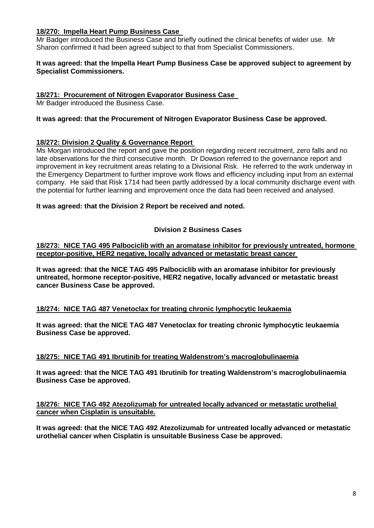# **18/270: Impella Heart Pump Business Case**

Mr Badger introduced the Business Case and briefly outlined the clinical benefits of wider use. Mr Sharon confirmed it had been agreed subject to that from Specialist Commissioners.

#### **It was agreed: that the Impella Heart Pump Business Case be approved subject to agreement by Specialist Commissioners.**

#### **18/271: Procurement of Nitrogen Evaporator Business Case**

Mr Badger introduced the Business Case.

# **It was agreed: that the Procurement of Nitrogen Evaporator Business Case be approved.**

# **18/272: Division 2 Quality & Governance Report**

Ms Morgan introduced the report and gave the position regarding recent recruitment, zero falls and no late observations for the third consecutive month. Dr Dowson referred to the governance report and improvement in key recruitment areas relating to a Divisional Risk. He referred to the work underway in the Emergency Department to further improve work flows and efficiency including input from an external company. He said that Risk 1714 had been partly addressed by a local community discharge event with the potential for further learning and improvement once the data had been received and analysed.

# **It was agreed: that the Division 2 Report be received and noted.**

# **Division 2 Business Cases**

**18/273: NICE TAG 495 Palbociclib with an aromatase inhibitor for previously untreated, hormone receptor-positive, HER2 negative, locally advanced or metastatic breast cancer** 

**It was agreed: that the NICE TAG 495 Palbociclib with an aromatase inhibitor for previously untreated, hormone receptor-positive, HER2 negative, locally advanced or metastatic breast cancer Business Case be approved.**

#### **18/274: NICE TAG 487 Venetoclax for treating chronic lymphocytic leukaemia**

**It was agreed: that the NICE TAG 487 Venetoclax for treating chronic lymphocytic leukaemia Business Case be approved.**

#### **18/275: NICE TAG 491 Ibrutinib for treating Waldenstrom's macroglobulinaemia**

**It was agreed: that the NICE TAG 491 Ibrutinib for treating Waldenstrom's macroglobulinaemia Business Case be approved.**

#### **18/276: NICE TAG 492 Atezolizumab for untreated locally advanced or metastatic urothelial cancer when Cisplatin is unsuitable.**

**It was agreed: that the NICE TAG 492 Atezolizumab for untreated locally advanced or metastatic urothelial cancer when Cisplatin is unsuitable Business Case be approved.**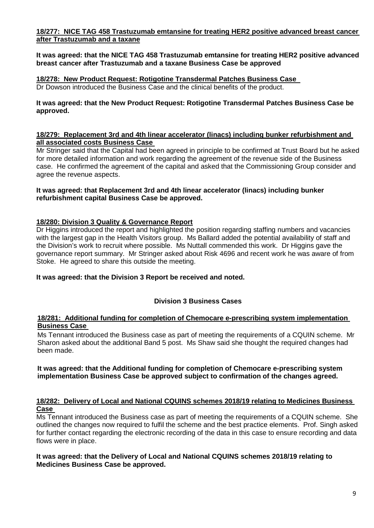# **18/277: NICE TAG 458 Trastuzumab emtansine for treating HER2 positive advanced breast cancer after Trastuzumab and a taxane**

**It was agreed: that the NICE TAG 458 Trastuzumab emtansine for treating HER2 positive advanced breast cancer after Trastuzumab and a taxane Business Case be approved**

**18/278: New Product Request: Rotigotine Transdermal Patches Business Case**  Dr Dowson introduced the Business Case and the clinical benefits of the product.

#### **It was agreed: that the New Product Request: Rotigotine Transdermal Patches Business Case be approved.**

#### **18/279: Replacement 3rd and 4th linear accelerator (linacs) including bunker refurbishment and all associated costs Business Case**

Mr Stringer said that the Capital had been agreed in principle to be confirmed at Trust Board but he asked for more detailed information and work regarding the agreement of the revenue side of the Business case. He confirmed the agreement of the capital and asked that the Commissioning Group consider and agree the revenue aspects.

#### **It was agreed: that Replacement 3rd and 4th linear accelerator (linacs) including bunker refurbishment capital Business Case be approved.**

#### **18/280: Division 3 Quality & Governance Report**

Dr Higgins introduced the report and highlighted the position regarding staffing numbers and vacancies with the largest gap in the Health Visitors group. Ms Ballard added the potential availability of staff and the Division's work to recruit where possible. Ms Nuttall commended this work. Dr Higgins gave the governance report summary. Mr Stringer asked about Risk 4696 and recent work he was aware of from Stoke. He agreed to share this outside the meeting.

#### **It was agreed: that the Division 3 Report be received and noted.**

#### **Division 3 Business Cases**

#### **18/281: Additional funding for completion of Chemocare e-prescribing system implementation Business Case**

Ms Tennant introduced the Business case as part of meeting the requirements of a CQUIN scheme. Mr Sharon asked about the additional Band 5 post. Ms Shaw said she thought the required changes had been made.

#### **It was agreed: that the Additional funding for completion of Chemocare e-prescribing system implementation Business Case be approved subject to confirmation of the changes agreed.**

# **18/282: Delivery of Local and National CQUINS schemes 2018/19 relating to Medicines Business Case**

Ms Tennant introduced the Business case as part of meeting the requirements of a CQUIN scheme. She outlined the changes now required to fulfil the scheme and the best practice elements. Prof. Singh asked for further contact regarding the electronic recording of the data in this case to ensure recording and data flows were in place.

#### **It was agreed: that the Delivery of Local and National CQUINS schemes 2018/19 relating to Medicines Business Case be approved.**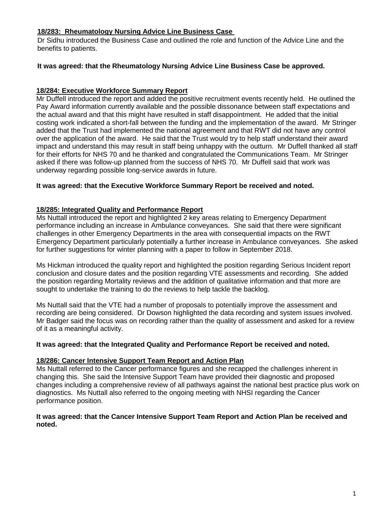# **18/283: Rheumatology Nursing Advice Line Business Case**

Dr Sidhu introduced the Business Case and outlined the role and function of the Advice Line and the benefits to patients.

#### **It was agreed: that the Rheumatology Nursing Advice Line Business Case be approved.**

# **18/284: Executive Workforce Summary Report**

Mr Duffell introduced the report and added the positive recruitment events recently held. He outlined the Pay Award information currently available and the possible dissonance between staff expectations and the actual award and that this might have resulted in staff disappointment. He added that the initial costing work indicated a short-fall between the funding and the implementation of the award. Mr Stringer added that the Trust had implemented the national agreement and that RWT did not have any control over the application of the award. He said that the Trust would try to help staff understand their award impact and understand this may result in staff being unhappy with the outturn. Mr Duffell thanked all staff for their efforts for NHS 70 and he thanked and congratulated the Communications Team. Mr Stringer asked if there was follow-up planned from the success of NHS 70. Mr Duffell said that work was underway regarding possible long-service awards in future.

#### **It was agreed: that the Executive Workforce Summary Report be received and noted.**

#### **18/285: Integrated Quality and Performance Report**

Ms Nuttall introduced the report and highlighted 2 key areas relating to Emergency Department performance including an increase in Ambulance conveyances. She said that there were significant challenges in other Emergency Departments in the area with consequential impacts on the RWT Emergency Department particularly potentially a further increase in Ambulance conveyances. She asked for further suggestions for winter planning with a paper to follow in September 2018.

Ms Hickman introduced the quality report and highlighted the position regarding Serious Incident report conclusion and closure dates and the position regarding VTE assessments and recording. She added the position regarding Mortality reviews and the addition of qualitative information and that more are sought to undertake the training to do the reviews to help tackle the backlog.

Ms Nuttall said that the VTE had a number of proposals to potentially improve the assessment and recording are being considered. Dr Dowson highlighted the data recording and system issues involved. Mr Badger said the focus was on recording rather than the quality of assessment and asked for a review of it as a meaningful activity.

#### **It was agreed: that the Integrated Quality and Performance Report be received and noted.**

#### **18/286: Cancer Intensive Support Team Report and Action Plan**

Ms Nuttall referred to the Cancer performance figures and she recapped the challenges inherent in changing this. She said the Intensive Support Team have provided their diagnostic and proposed changes including a comprehensive review of all pathways against the national best practice plus work on diagnostics. Ms Nuttall also referred to the ongoing meeting with NHSI regarding the Cancer performance position.

#### **It was agreed: that the Cancer Intensive Support Team Report and Action Plan be received and noted.**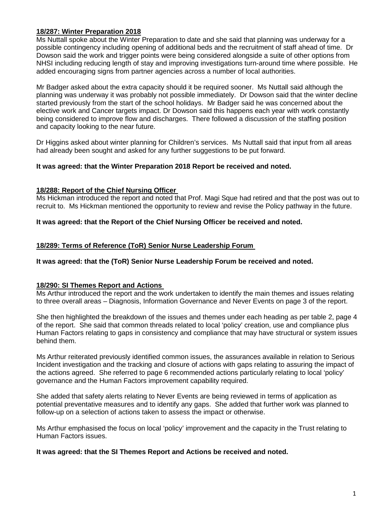# **18/287: Winter Preparation 2018**

Ms Nuttall spoke about the Winter Preparation to date and she said that planning was underway for a possible contingency including opening of additional beds and the recruitment of staff ahead of time. Dr Dowson said the work and trigger points were being considered alongside a suite of other options from NHSI including reducing length of stay and improving investigations turn-around time where possible. He added encouraging signs from partner agencies across a number of local authorities.

Mr Badger asked about the extra capacity should it be required sooner. Ms Nuttall said although the planning was underway it was probably not possible immediately. Dr Dowson said that the winter decline started previously from the start of the school holidays. Mr Badger said he was concerned about the elective work and Cancer targets impact. Dr Dowson said this happens each year with work constantly being considered to improve flow and discharges. There followed a discussion of the staffing position and capacity looking to the near future.

Dr Higgins asked about winter planning for Children's services. Ms Nuttall said that input from all areas had already been sought and asked for any further suggestions to be put forward.

#### **It was agreed: that the Winter Preparation 2018 Report be received and noted.**

#### **18/288: Report of the Chief Nursing Officer**

Ms Hickman introduced the report and noted that Prof. Magi Sque had retired and that the post was out to recruit to. Ms Hickman mentioned the opportunity to review and revise the Policy pathway in the future.

#### **It was agreed: that the Report of the Chief Nursing Officer be received and noted.**

#### **18/289: Terms of Reference (ToR) Senior Nurse Leadership Forum**

#### **It was agreed: that the (ToR) Senior Nurse Leadership Forum be received and noted.**

#### **18/290: SI Themes Report and Actions**

Ms Arthur introduced the report and the work undertaken to identify the main themes and issues relating to three overall areas – Diagnosis, Information Governance and Never Events on page 3 of the report.

She then highlighted the breakdown of the issues and themes under each heading as per table 2, page 4 of the report. She said that common threads related to local 'policy' creation, use and compliance plus Human Factors relating to gaps in consistency and compliance that may have structural or system issues behind them.

Ms Arthur reiterated previously identified common issues, the assurances available in relation to Serious Incident investigation and the tracking and closure of actions with gaps relating to assuring the impact of the actions agreed. She referred to page 6 recommended actions particularly relating to local 'policy' governance and the Human Factors improvement capability required.

She added that safety alerts relating to Never Events are being reviewed in terms of application as potential preventative measures and to identify any gaps. She added that further work was planned to follow-up on a selection of actions taken to assess the impact or otherwise.

Ms Arthur emphasised the focus on local 'policy' improvement and the capacity in the Trust relating to Human Factors issues.

#### **It was agreed: that the SI Themes Report and Actions be received and noted.**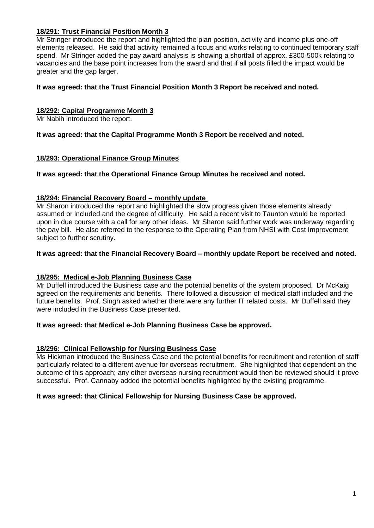# **18/291: Trust Financial Position Month 3**

Mr Stringer introduced the report and highlighted the plan position, activity and income plus one-off elements released. He said that activity remained a focus and works relating to continued temporary staff spend. Mr Stringer added the pay award analysis is showing a shortfall of approx. £300-500k relating to vacancies and the base point increases from the award and that if all posts filled the impact would be greater and the gap larger.

# **It was agreed: that the Trust Financial Position Month 3 Report be received and noted.**

# **18/292: Capital Programme Month 3**

Mr Nabih introduced the report.

**It was agreed: that the Capital Programme Month 3 Report be received and noted.**

#### **18/293: Operational Finance Group Minutes**

**It was agreed: that the Operational Finance Group Minutes be received and noted.**

# **18/294: Financial Recovery Board – monthly update**

Mr Sharon introduced the report and highlighted the slow progress given those elements already assumed or included and the degree of difficulty. He said a recent visit to Taunton would be reported upon in due course with a call for any other ideas. Mr Sharon said further work was underway regarding the pay bill. He also referred to the response to the Operating Plan from NHSI with Cost Improvement subject to further scrutiny.

# **It was agreed: that the Financial Recovery Board – monthly update Report be received and noted.**

# **18/295: Medical e-Job Planning Business Case**

Mr Duffell introduced the Business case and the potential benefits of the system proposed. Dr McKaig agreed on the requirements and benefits. There followed a discussion of medical staff included and the future benefits. Prof. Singh asked whether there were any further IT related costs. Mr Duffell said they were included in the Business Case presented.

#### **It was agreed: that Medical e-Job Planning Business Case be approved.**

# **18/296: Clinical Fellowship for Nursing Business Case**

Ms Hickman introduced the Business Case and the potential benefits for recruitment and retention of staff particularly related to a different avenue for overseas recruitment. She highlighted that dependent on the outcome of this approach; any other overseas nursing recruitment would then be reviewed should it prove successful. Prof. Cannaby added the potential benefits highlighted by the existing programme.

#### **It was agreed: that Clinical Fellowship for Nursing Business Case be approved.**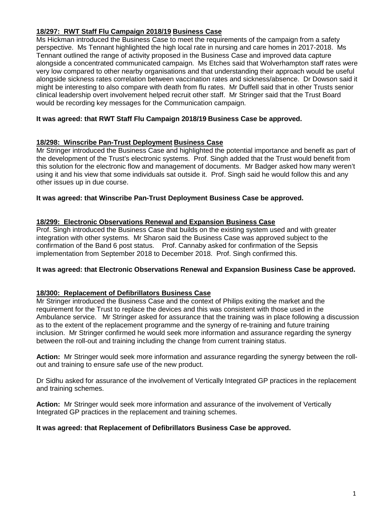# **18/297: RWT Staff Flu Campaign 2018/19 Business Case**

Ms Hickman introduced the Business Case to meet the requirements of the campaign from a safety perspective. Ms Tennant highlighted the high local rate in nursing and care homes in 2017-2018. Ms Tennant outlined the range of activity proposed in the Business Case and improved data capture alongside a concentrated communicated campaign. Ms Etches said that Wolverhampton staff rates were very low compared to other nearby organisations and that understanding their approach would be useful alongside sickness rates correlation between vaccination rates and sickness/absence. Dr Dowson said it might be interesting to also compare with death from flu rates. Mr Duffell said that in other Trusts senior clinical leadership overt involvement helped recruit other staff. Mr Stringer said that the Trust Board would be recording key messages for the Communication campaign.

# **It was agreed: that RWT Staff Flu Campaign 2018/19 Business Case be approved.**

#### **18/298: Winscribe Pan-Trust Deployment Business Case**

Mr Stringer introduced the Business Case and highlighted the potential importance and benefit as part of the development of the Trust's electronic systems. Prof. Singh added that the Trust would benefit from this solution for the electronic flow and management of documents. Mr Badger asked how many weren't using it and his view that some individuals sat outside it. Prof. Singh said he would follow this and any other issues up in due course.

#### **It was agreed: that Winscribe Pan-Trust Deployment Business Case be approved.**

#### **18/299: Electronic Observations Renewal and Expansion Business Case**

Prof. Singh introduced the Business Case that builds on the existing system used and with greater integration with other systems. Mr Sharon said the Business Case was approved subject to the confirmation of the Band 6 post status. Prof. Cannaby asked for confirmation of the Sepsis implementation from September 2018 to December 2018. Prof. Singh confirmed this.

#### **It was agreed: that Electronic Observations Renewal and Expansion Business Case be approved.**

#### **18/300: Replacement of Defibrillators Business Case**

Mr Stringer introduced the Business Case and the context of Philips exiting the market and the requirement for the Trust to replace the devices and this was consistent with those used in the Ambulance service. Mr Stringer asked for assurance that the training was in place following a discussion as to the extent of the replacement programme and the synergy of re-training and future training inclusion. Mr Stringer confirmed he would seek more information and assurance regarding the synergy between the roll-out and training including the change from current training status.

**Action:** Mr Stringer would seek more information and assurance regarding the synergy between the rollout and training to ensure safe use of the new product.

Dr Sidhu asked for assurance of the involvement of Vertically Integrated GP practices in the replacement and training schemes.

**Action:** Mr Stringer would seek more information and assurance of the involvement of Vertically Integrated GP practices in the replacement and training schemes.

#### **It was agreed: that Replacement of Defibrillators Business Case be approved.**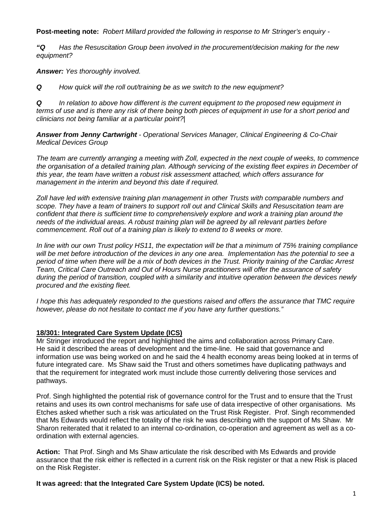**Post-meeting note:** *Robert Millard provided the following in response to Mr Stringer's enquiry -*

*"Q Has the Resuscitation Group been involved in the procurement/decision making for the new equipment?*

*Answer: Yes thoroughly involved.*

*Q How quick will the roll out/training be as we switch to the new equipment?*

*Q In relation to above how different is the current equipment to the proposed new equipment in terms of use and is there any risk of there being both pieces of equipment in use for a short period and clinicians not being familiar at a particular point?|*

*Answer from Jenny Cartwright - Operational Services Manager, Clinical Engineering & Co-Chair Medical Devices Group* 

*The team are currently arranging a meeting with Zoll, expected in the next couple of weeks, to commence the organisation of a detailed training plan. Although servicing of the existing fleet expires in December of this year, the team have written a robust risk assessment attached, which offers assurance for management in the interim and beyond this date if required.*

*Zoll have led with extensive training plan management in other Trusts with comparable numbers and scope. They have a team of trainers to support roll out and Clinical Skills and Resuscitation team are confident that there is sufficient time to comprehensively explore and work a training plan around the needs of the individual areas. A robust training plan will be agreed by all relevant parties before commencement. Roll out of a training plan is likely to extend to 8 weeks or more.*

*In line with our own Trust policy HS11, the expectation will be that a minimum of 75% training compliance will be met before introduction of the devices in any one area. Implementation has the potential to see a period of time when there will be a mix of both devices in the Trust. Priority training of the Cardiac Arrest Team, Critical Care Outreach and Out of Hours Nurse practitioners will offer the assurance of safety during the period of transition, coupled with a similarity and intuitive operation between the devices newly procured and the existing fleet.* 

*I hope this has adequately responded to the questions raised and offers the assurance that TMC require however, please do not hesitate to contact me if you have any further questions."*

# **18/301: Integrated Care System Update (ICS)**

Mr Stringer introduced the report and highlighted the aims and collaboration across Primary Care. He said it described the areas of development and the time-line. He said that governance and information use was being worked on and he said the 4 health economy areas being looked at in terms of future integrated care. Ms Shaw said the Trust and others sometimes have duplicating pathways and that the requirement for integrated work must include those currently delivering those services and pathways.

Prof. Singh highlighted the potential risk of governance control for the Trust and to ensure that the Trust retains and uses its own control mechanisms for safe use of data irrespective of other organisations. Ms Etches asked whether such a risk was articulated on the Trust Risk Register. Prof. Singh recommended that Ms Edwards would reflect the totality of the risk he was describing with the support of Ms Shaw. Mr Sharon reiterated that it related to an internal co-ordination, co-operation and agreement as well as a coordination with external agencies.

**Action:** That Prof. Singh and Ms Shaw articulate the risk described with Ms Edwards and provide assurance that the risk either is reflected in a current risk on the Risk register or that a new Risk is placed on the Risk Register.

**It was agreed: that the Integrated Care System Update (ICS) be noted.**